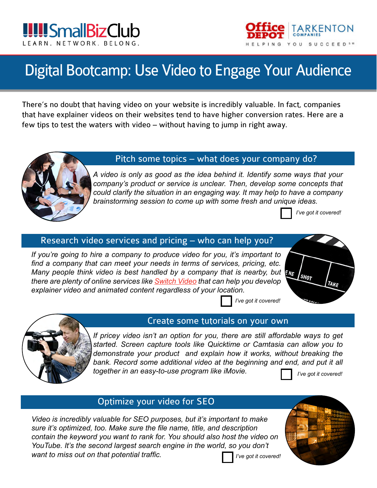

# Digital Bootcamp: Use Video to Engage Your Audience

There's no doubt that having video on your website is incredibly valuable. In fact, companies that have explainer videos on their websites tend to have higher conversion rates. Here are a few tips to test the waters with video – without having to jump in right away.



#### Pitch some topics – what does your company do?

*A video is only as good as the idea behind it. Identify some ways that your company's product or service is unclear. Then, develop some concepts that could clarify the situation in an engaging way. It may help to have a company brainstorming session to come up with some fresh and unique ideas.*

*I've got it covered!*

# Research video services and pricing – who can help you?

*If you're going to hire a company to produce video for you, it's important to find a company that can meet your needs in terms of services, pricing, etc. Many people think video is best handled by a company that is nearby, but We there are plenty of online services like [Switch Video](http://www.switchvideo.com) that can help you develop explainer video and animated content regardless of your location.*





#### Create some tutorials on your own

*If pricey video isn't an option for you, there are still affordable ways to get started. Screen capture tools like Quicktime or Camtasia can allow you to demonstrate your product and explain how it works, without breaking the*  bank. Record some additional video at the beginning and end, and put it all *together in an easy-to-use program like iMovie. I've got it covered!*



## Optimize your video for SEO

*Video is incredibly valuable for SEO purposes, but it's important to make sure it's optimized, too. Make sure the file name, title, and description contain the keyword you want to rank for. You should also host the video on YouTube. It's the second largest search engine in the world, so you don't want to miss out on that potential traffic.*



*I've got it covered!*